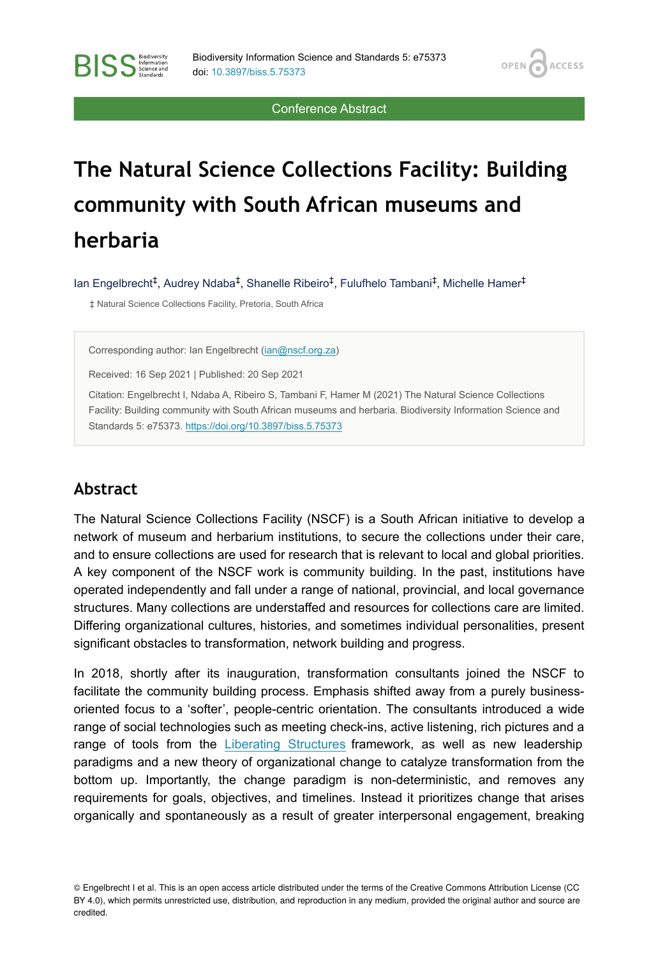OPEN<sub>C</sub>

**ACCESS** 

Conference Abstract

# **The Natural Science Collections Facility: Building community with South African museums and herbaria**

lan Engelbrecht<sup>‡</sup>, Audrey Ndaba<sup>‡</sup>, Shanelle Ribeiro<sup>‡</sup>, Fulufhelo Tambani<sup>‡</sup>, Michelle Hamer<sup>‡</sup>

‡ Natural Science Collections Facility, Pretoria, South Africa

Corresponding author: Ian Engelbrecht ([ian@nscf.org.za\)](mailto:ian@nscf.org.za)

Received: 16 Sep 2021 | Published: 20 Sep 2021

Citation: Engelbrecht I, Ndaba A, Ribeiro S, Tambani F, Hamer M (2021) The Natural Science Collections Facility: Building community with South African museums and herbaria. Biodiversity Information Science and Standards 5: e75373. <https://doi.org/10.3897/biss.5.75373>

#### **Abstract**

**BISS** Steince and

The Natural Science Collections Facility (NSCF) is a South African initiative to develop a network of museum and herbarium institutions, to secure the collections under their care, and to ensure collections are used for research that is relevant to local and global priorities. A key component of the NSCF work is community building. In the past, institutions have operated independently and fall under a range of national, provincial, and local governance structures. Many collections are understaffed and resources for collections care are limited. Differing organizational cultures, histories, and sometimes individual personalities, present significant obstacles to transformation, network building and progress.

In 2018, shortly after its inauguration, transformation consultants joined the NSCF to facilitate the community building process. Emphasis shifted away from a purely businessoriented focus to a 'softer', people-centric orientation. The consultants introduced a wide range of social technologies such as meeting check-ins, active listening, rich pictures and a range of tools from the [Liberating Structures](https://www.liberatingstructures.com/) framework, as well as new leadership paradigms and a new theory of organizational change to catalyze transformation from the bottom up. Importantly, the change paradigm is non-deterministic, and removes any requirements for goals, objectives, and timelines. Instead it prioritizes change that arises organically and spontaneously as a result of greater interpersonal engagement, breaking

<sup>©</sup> Engelbrecht I et al. This is an open access article distributed under the terms of the Creative Commons Attribution License (CC BY 4.0), which permits unrestricted use, distribution, and reproduction in any medium, provided the original author and source are credited.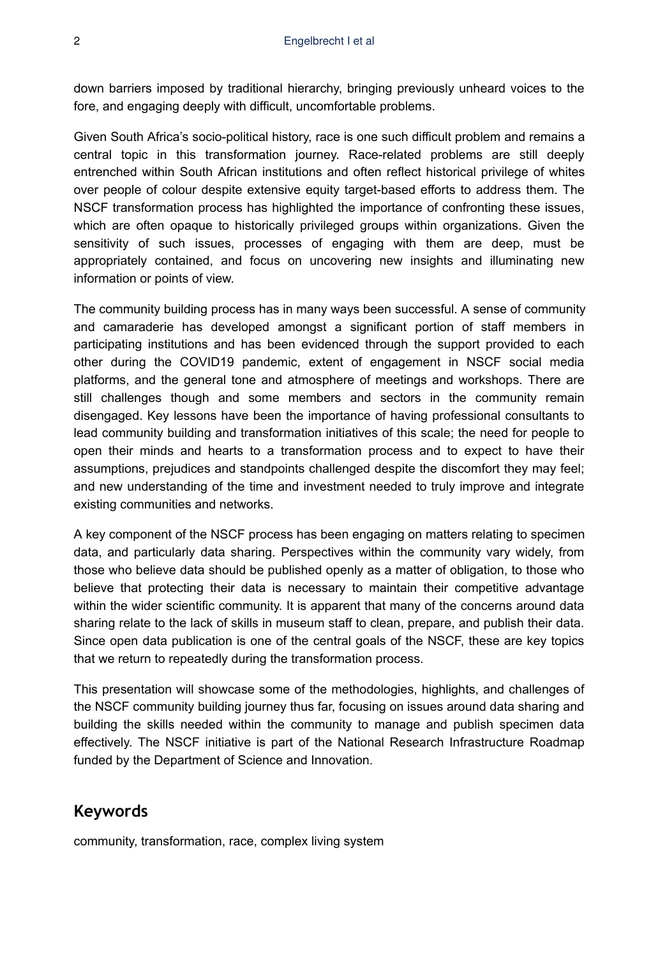down barriers imposed by traditional hierarchy, bringing previously unheard voices to the fore, and engaging deeply with difficult, uncomfortable problems.

Given South Africa's socio-political history, race is one such difficult problem and remains a central topic in this transformation journey. Race-related problems are still deeply entrenched within South African institutions and often reflect historical privilege of whites over people of colour despite extensive equity target-based efforts to address them. The NSCF transformation process has highlighted the importance of confronting these issues, which are often opaque to historically privileged groups within organizations. Given the sensitivity of such issues, processes of engaging with them are deep, must be appropriately contained, and focus on uncovering new insights and illuminating new information or points of view.

The community building process has in many ways been successful. A sense of community and camaraderie has developed amongst a significant portion of staff members in participating institutions and has been evidenced through the support provided to each other during the COVID19 pandemic, extent of engagement in NSCF social media platforms, and the general tone and atmosphere of meetings and workshops. There are still challenges though and some members and sectors in the community remain disengaged. Key lessons have been the importance of having professional consultants to lead community building and transformation initiatives of this scale; the need for people to open their minds and hearts to a transformation process and to expect to have their assumptions, prejudices and standpoints challenged despite the discomfort they may feel; and new understanding of the time and investment needed to truly improve and integrate existing communities and networks.

A key component of the NSCF process has been engaging on matters relating to specimen data, and particularly data sharing. Perspectives within the community vary widely, from those who believe data should be published openly as a matter of obligation, to those who believe that protecting their data is necessary to maintain their competitive advantage within the wider scientific community. It is apparent that many of the concerns around data sharing relate to the lack of skills in museum staff to clean, prepare, and publish their data. Since open data publication is one of the central goals of the NSCF, these are key topics that we return to repeatedly during the transformation process.

This presentation will showcase some of the methodologies, highlights, and challenges of the NSCF community building journey thus far, focusing on issues around data sharing and building the skills needed within the community to manage and publish specimen data effectively. The NSCF initiative is part of the National Research Infrastructure Roadmap funded by the Department of Science and Innovation.

# **Keywords**

community, transformation, race, complex living system